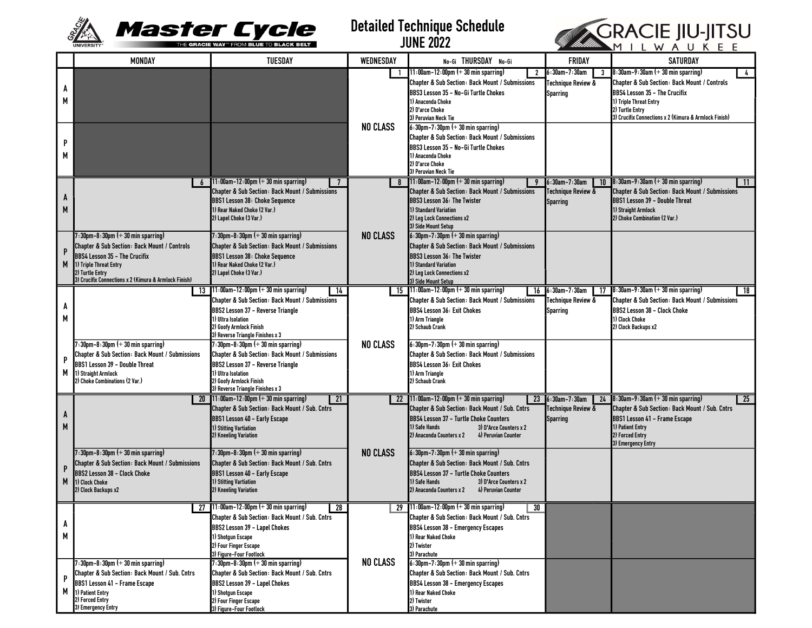

Detailed Technique Schedule JUNE 2022



|        | <b>MONDAY</b>                                                            | TUESDAY                                                                                                           | WEDNESDAY       | No-Gi THURSDAY No-Gi                                                                              | <b>FRIDAY</b>       | <b>SATURDAY</b>                                                                            |
|--------|--------------------------------------------------------------------------|-------------------------------------------------------------------------------------------------------------------|-----------------|---------------------------------------------------------------------------------------------------|---------------------|--------------------------------------------------------------------------------------------|
| A<br>М |                                                                          |                                                                                                                   | $\mathbf{1}$    | $11:00$ am-12:00pm $(+30$ min sparring)<br>$\mathbf{2}$                                           | 6:30am-7:30am<br>3  | $8:30$ am-9:30am $(+30$ min sparring)<br>4                                                 |
|        |                                                                          |                                                                                                                   |                 | Chapter & Sub Section: Back Mount / Submissions                                                   | Techniaue Review &  | Chapter & Sub Section: Back Mount / Controls                                               |
|        |                                                                          |                                                                                                                   |                 | BBS3 Lesson 35 – No-Gi Turtle Chokes<br>1) Anaconda Choke                                         | <b>Sparring</b>     | BBS4 Lesson 35 - The Crucifix<br>1) Triple Threat Entry                                    |
|        |                                                                          |                                                                                                                   |                 | 2) D'arce Choke                                                                                   |                     | 2) Turtle Entry                                                                            |
|        |                                                                          |                                                                                                                   | <b>NO CLASS</b> | 3) Peruvian Neck Tie<br>$6:30$ pm-7:30pm $(+30$ min sparring)                                     |                     | 3) Crucifix Connections x 2 (Kimura & Armlock Finish)                                      |
| P<br>М |                                                                          |                                                                                                                   |                 | Chapter & Sub Section: Back Mount / Submissions                                                   |                     |                                                                                            |
|        |                                                                          |                                                                                                                   |                 | BBS3 Lesson 35 – No-Gi Turtle Chokes                                                              |                     |                                                                                            |
|        |                                                                          |                                                                                                                   |                 | 1) Anaconda Choke                                                                                 |                     |                                                                                            |
|        |                                                                          |                                                                                                                   |                 | 2) D'arce Choke<br>3) Peruvian Neck Tie                                                           |                     |                                                                                            |
| A<br>M |                                                                          | 11:00am-12:00pm (+ 30 min sparring)                                                                               |                 | $11:00$ am-12:00pm (+ 30 min sparring)<br>9                                                       | 6:30am-7:30am<br>10 | $8:30$ am-9:30am (+ 30 min sparring)<br>- 11                                               |
|        |                                                                          | <b>Chapter &amp; Sub Section: Back Mount / Submissions</b><br><b>BBS1 Lesson 38: Choke Sequence</b>               |                 | Chapter & Sub Section: Back Mount / Submissions<br>BBS3 Lesson 36: The Twister                    | Technique Review &  | Chapter & Sub Section: Back Mount / Submissions<br>BBS1 Lesson 39 - Double Threat          |
|        |                                                                          | I) Rear Naked Choke (2 Var.)                                                                                      |                 | 1) Standard Variation                                                                             | Sparring            | 1) Straight Armlock                                                                        |
|        |                                                                          | 2) Lapel Choke (3 Var.)                                                                                           |                 | 2) Leg Lock Connections x2                                                                        |                     | 2) Choke Combination (2 Var.)                                                              |
|        | $7:30$ pm-8:30pm $(+)$ 30 min sparring)                                  | 30pm-8:30pm (+ 30 min sparring) ?                                                                                 | <b>NO CLASS</b> | 3) Side Mount Setup<br>$6:30$ pm-7:30pm $(+)$ 30 min sparring)                                    |                     |                                                                                            |
| P<br>M | Chapter & Sub Section: Back Mount / Controls                             | <b>Chapter &amp; Sub Section: Back Mount / Submissions</b>                                                        |                 | Chapter & Sub Section: Back Mount / Submissions                                                   |                     |                                                                                            |
|        | BBS4 Lesson 35 - The Crucifix                                            | <b>BBS1 Lesson 38: Choke Sequence</b>                                                                             |                 | <b>BBS3 Lesson 36: The Twister</b>                                                                |                     |                                                                                            |
|        | 1) Triple Threat Entry                                                   | 1) Rear Naked Choke (2 Var.)                                                                                      |                 | 1) Standard Variation                                                                             |                     |                                                                                            |
|        | 2) Turtle Entry<br>3) Crucifix Connections x 2 (Kimura & Armlock Finish) | 2) Lapel Choke (3 Var.)                                                                                           |                 | 2) Leg Lock Connections x2<br>3) Side Mount Setup                                                 |                     |                                                                                            |
|        | 13                                                                       | $11:00$ am-12:00pm (+ 30 min sparring)<br>$\sqrt{14}$                                                             |                 | 15 $11:00$ am-12:00pm (+ 30 min sparring)                                                         | 16 6:30am-7:30am    | 17 $\,$ 8:30am-9:30am (+ 30 min sparring)<br>18                                            |
| A      |                                                                          | <b>Chapter &amp; Sub Section: Back Mount / Submissions</b>                                                        |                 | Chapter & Sub Section: Back Mount / Submissions                                                   | Technique Review &  | Chapter & Sub Section: Back Mount / Submissions                                            |
| М      |                                                                          | <b>BBS2 Lesson 37 - Reverse Triangle</b><br>1) Ultra Isolation                                                    |                 | <b>BBS4 Lesson 36: Exit Chokes</b><br>1) Arm Triangle                                             | <b>Sparring</b>     | BBS2 Lesson 38 - Clock Choke<br>1) Clock Choke                                             |
|        |                                                                          | 2) Goofy Armlock Finish                                                                                           |                 | 2) Schaub Crank                                                                                   |                     | 2) Clock Backups x2                                                                        |
| P      | $\cdot$ :30pm-8:30pm $(+)$ 30 min sparring)                              | 3) Reverse Triangle Finishes x 3<br>7:30pm-8:30pm (+ 30 min sparring)                                             | <b>NO CLASS</b> | $6:30$ pm-7:30pm $(+)$ 30 min sparring)                                                           |                     |                                                                                            |
|        | Chapter & Sub Section: Back Mount / Submissions                          | Chapter & Sub Section: Back Mount / Submissions                                                                   |                 | <b>Chapter &amp; Sub Section: Back Mount / Submissions</b>                                        |                     |                                                                                            |
|        | BBS1 Lesson 39 - Double Threat                                           | BBS2 Lesson 37 - Reverse Triangle                                                                                 |                 | <b>BBS4 Lesson 36: Exit Chokes</b>                                                                |                     |                                                                                            |
| М      | 1) Straight Armlock<br>2) Choke Combinations (2 Var.)                    | 1) Ultra Isolation<br>2) Goofy Armlock Finish                                                                     |                 | 1) Arm Triangle<br>2) Schaub Crank                                                                |                     |                                                                                            |
|        |                                                                          | 3) Reverse Triangle Finishes x 3                                                                                  |                 |                                                                                                   |                     |                                                                                            |
|        | 20                                                                       | $11:00$ am-12:00pm (+ 30 min sparring)<br>$\overline{21}$                                                         | -22             | $11:00$ am-12:00pm (+ 30 min sparring)                                                            | 23 6:30am-7:30am    | $24$ 8:30am-9:30am (+ 30 min sparring)<br>25                                               |
| A      |                                                                          | Chapter & Sub Section: Back Mount / Sub. Cntrs                                                                    |                 | <b>Chapter &amp; Sub Section: Back Mount / Sub. Cntrs</b>                                         | Technique Review &  | <b>Chapter &amp; Sub Section: Back Mount / Sub. Cntrs</b><br>BBS1 Lesson 41 - Frame Escape |
| M      |                                                                          | <b>BBS1 Lesson 40 - Early Escape</b><br>1) Stitting Vartiation                                                    |                 | BBS4 Lesson 37 – Turtle Choke Counters<br>1) Safe Hands<br>3) D'Arce Counters x 2                 | <b>Sparring</b>     | 1) Patient Entry                                                                           |
|        |                                                                          | 2) Kneeling Variation                                                                                             |                 | 2) Anaconda Counters x 2<br>4) Peruvian Counter                                                   |                     | 2) Forced Entry                                                                            |
|        | $7:30$ pm-8:30pm $(+30$ min sparring)                                    | $7:30$ pm-8:30pm $(+)$ 30 min sparring)                                                                           | <b>NO CLASS</b> | $6:30$ pm-7:30pm $(+)$ 30 min sparring)                                                           |                     | 3) Emergency Entry                                                                         |
|        | Chapter & Sub Section: Back Mount / Submissions                          | <b>Chapter &amp; Sub Section: Back Mount / Sub. Cntrs</b>                                                         |                 | Chapter & Sub Section: Back Mount / Sub. Cntrs                                                    |                     |                                                                                            |
| P      | BBS2 Lesson 38 - Clock Choke                                             | BBS1 Lesson 40 - Early Escape                                                                                     |                 | BBS4 Lesson 37 - Turtle Choke Counters                                                            |                     |                                                                                            |
| M      | 1) Clock Choke<br>2) Clock Backups x2                                    | 1) Stitting Vartiation<br>2) Kneeling Variation                                                                   |                 | 1) Safe Hands<br>3) D'Arce Counters x 2<br>2) Anaconda Counters x 2<br>4) Peruvian Counter        |                     |                                                                                            |
|        |                                                                          |                                                                                                                   |                 |                                                                                                   |                     |                                                                                            |
|        |                                                                          | 27 $11:00$ am-12:00pm $($ + 30 min sparring)<br>$\overline{28}$<br>Chapter & Sub Section: Back Mount / Sub. Cntrs |                 | 29 $11:00$ am-12:00pm (+ 30 min sparring)<br>30<br>Chapter & Sub Section: Back Mount / Sub. Cntrs |                     |                                                                                            |
| A      |                                                                          | BBS2 Lesson 39 - Lapel Chokes                                                                                     |                 | BBS4 Lesson 38 - Emergency Escapes                                                                |                     |                                                                                            |
| М      |                                                                          | l) Shotgun Escape                                                                                                 |                 | 1) Rear Naked Choke                                                                               |                     |                                                                                            |
|        |                                                                          | 2) Four Finger Escape                                                                                             |                 | 2) Twister                                                                                        |                     |                                                                                            |
|        | $7:30$ pm-8:30pm $(+30$ min sparring)                                    | 3) Figure–Four Footlock<br>$7:30$ pm-8:30pm $(+)$ 30 min sparring)                                                | <b>NO CLASS</b> | 3) Parachute<br>$6:30$ pm-7:30pm $(+)$ 30 min sparring)                                           |                     |                                                                                            |
| P<br>М | Chapter & Sub Section: Back Mount / Sub. Cntrs                           | Chapter & Sub Section: Back Mount / Sub. Cntrs                                                                    |                 | Chapter & Sub Section: Back Mount / Sub. Cntrs                                                    |                     |                                                                                            |
|        | BBS1 Lesson 41 - Frame Escape<br>BBS2 Lesson 39 - Lapel Chokes           |                                                                                                                   |                 | BBS4 Lesson 38 - Emergency Escapes                                                                |                     |                                                                                            |
|        | 1) Patient Entry<br>2) Forced Entry                                      | 1) Shotqun Escape<br>2) Four Finger Escape                                                                        |                 | 1) Rear Naked Choke<br>2) Twister                                                                 |                     |                                                                                            |
|        | 3) Emergency Entry                                                       | 3) Figure-Four Footlock                                                                                           |                 | 3) Parachute                                                                                      |                     |                                                                                            |